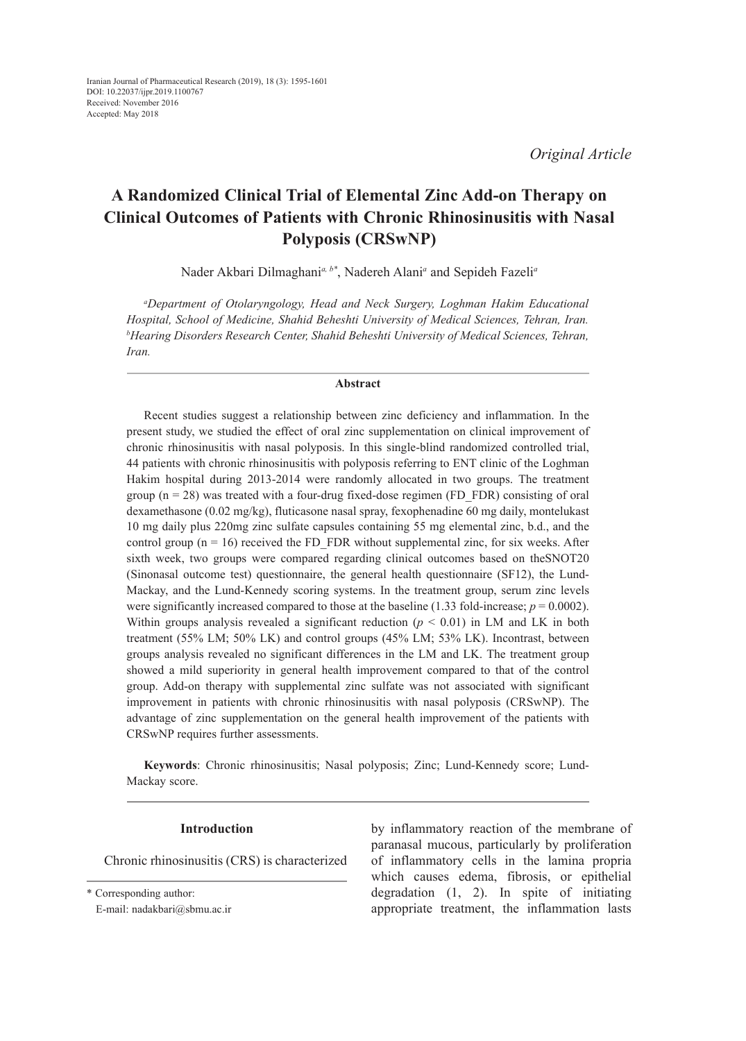# **A Randomized Clinical Trial of Elemental Zinc Add-on Therapy on Clinical Outcomes of Patients with Chronic Rhinosinusitis with Nasal Polyposis (CRSwNP)**

Nader Akbari Dilmaghani*a, b\**, Nadereh Alani*<sup>a</sup>* and Sepideh Fazeli*<sup>a</sup>*

*a Department of Otolaryngology, Head and Neck Surgery, Loghman Hakim Educational Hospital, School of Medicine, Shahid Beheshti University of Medical Sciences, Tehran, Iran. b Hearing Disorders Research Center, Shahid Beheshti University of Medical Sciences, Tehran, Iran.*

## **Abstract**

Recent studies suggest a relationship between zinc deficiency and inflammation. In the present study, we studied the effect of oral zinc supplementation on clinical improvement of chronic rhinosinusitis with nasal polyposis. In this single-blind randomized controlled trial, 44 patients with chronic rhinosinusitis with polyposis referring to ENT clinic of the Loghman Hakim hospital during 2013-2014 were randomly allocated in two groups. The treatment group  $(n = 28)$  was treated with a four-drug fixed-dose regimen (FD\_FDR) consisting of oral dexamethasone (0.02 mg/kg), fluticasone nasal spray, fexophenadine 60 mg daily, montelukast 10 mg daily plus 220mg zinc sulfate capsules containing 55 mg elemental zinc, b.d., and the control group ( $n = 16$ ) received the FD\_FDR without supplemental zinc, for six weeks. After sixth week, two groups were compared regarding clinical outcomes based on theSNOT20 (Sinonasal outcome test) questionnaire, the general health questionnaire (SF12), the Lund-Mackay, and the Lund-Kennedy scoring systems. In the treatment group, serum zinc levels were significantly increased compared to those at the baseline  $(1.33 \text{ fold-increase}; p = 0.0002)$ . Within groups analysis revealed a significant reduction  $(p < 0.01)$  in LM and LK in both treatment (55% LM; 50% LK) and control groups (45% LM; 53% LK). Incontrast, between groups analysis revealed no significant differences in the LM and LK. The treatment group showed a mild superiority in general health improvement compared to that of the control group. Add-on therapy with supplemental zinc sulfate was not associated with significant improvement in patients with chronic rhinosinusitis with nasal polyposis (CRSwNP). The advantage of zinc supplementation on the general health improvement of the patients with CRSwNP requires further assessments.

**Keywords**: Chronic rhinosinusitis; Nasal polyposis; Zinc; Lund-Kennedy score; Lund-Mackay score.

## **Introduction**

Chronic rhinosinusitis (CRS) is characterized

\* Corresponding author:

E-mail: nadakbari@sbmu.ac.ir

by inflammatory reaction of the membrane of paranasal mucous, particularly by proliferation of inflammatory cells in the lamina propria which causes edema, fibrosis, or epithelial degradation (1, 2). In spite of initiating appropriate treatment, the inflammation lasts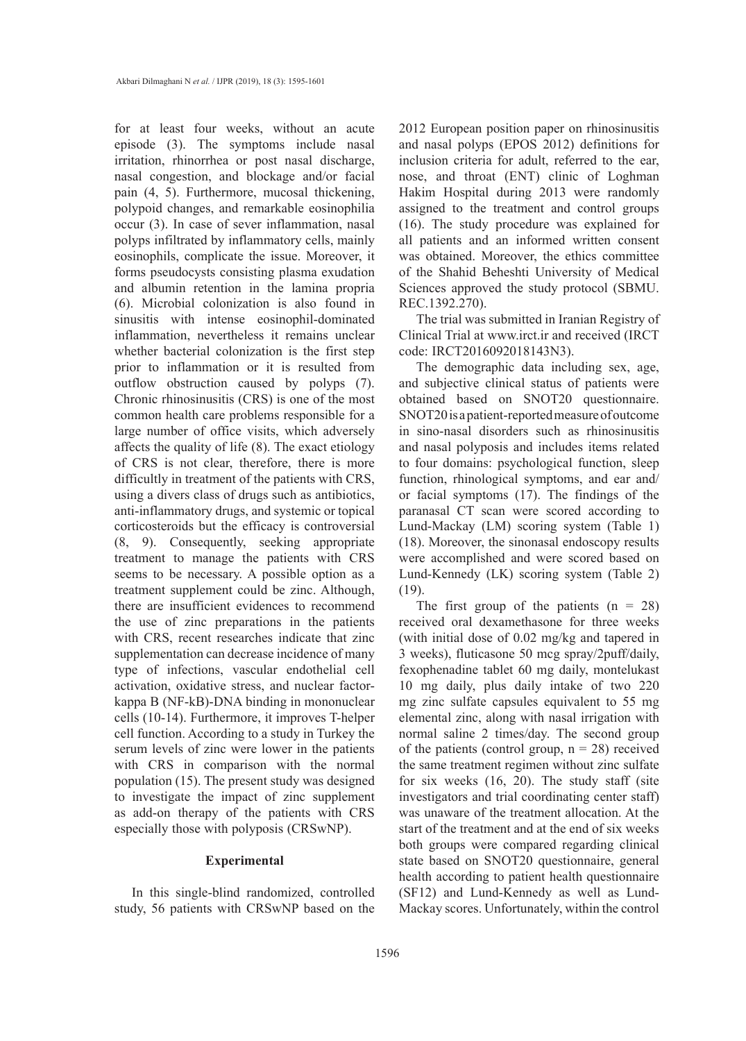for at least four weeks, without an acute episode (3). The symptoms include nasal irritation, rhinorrhea or post nasal discharge, nasal congestion, and blockage and/or facial pain (4, 5). Furthermore, mucosal thickening, polypoid changes, and remarkable eosinophilia occur (3). In case of sever inflammation, nasal polyps infiltrated by inflammatory cells, mainly eosinophils, complicate the issue. Moreover, it forms pseudocysts consisting plasma exudation and albumin retention in the lamina propria (6). Microbial colonization is also found in sinusitis with intense eosinophil-dominated inflammation, nevertheless it remains unclear whether bacterial colonization is the first step prior to inflammation or it is resulted from outflow obstruction caused by polyps (7). Chronic rhinosinusitis (CRS) is one of the most common health care problems responsible for a large number of office visits, which adversely affects the quality of life (8). The exact etiology of CRS is not clear, therefore, there is more difficultly in treatment of the patients with CRS, using a divers class of drugs such as antibiotics, anti-inflammatory drugs, and systemic or topical corticosteroids but the efficacy is controversial (8, 9). Consequently, seeking appropriate treatment to manage the patients with CRS seems to be necessary. A possible option as a treatment supplement could be zinc. Although, there are insufficient evidences to recommend the use of zinc preparations in the patients with CRS, recent researches indicate that zinc supplementation can decrease incidence of many type of infections, vascular endothelial cell activation, oxidative stress, and nuclear factorkappa B (NF-kB)-DNA binding in mononuclear cells (10-14). Furthermore, it improves T-helper cell function. According to a study in Turkey the serum levels of zinc were lower in the patients with CRS in comparison with the normal population (15). The present study was designed to investigate the impact of zinc supplement as add-on therapy of the patients with CRS especially those with polyposis (CRSwNP).

## **Experimental**

In this single-blind randomized, controlled study, 56 patients with CRSwNP based on the

2012 European position paper on rhinosinusitis and nasal polyps (EPOS 2012) definitions for inclusion criteria for adult, referred to the ear, nose, and throat (ENT) clinic of Loghman Hakim Hospital during 2013 were randomly assigned to the treatment and control groups (16). The study procedure was explained for all patients and an informed written consent was obtained. Moreover, the ethics committee of the Shahid Beheshti University of Medical Sciences approved the study protocol (SBMU. REC.1392.270).

The trial was submitted in Iranian Registry of Clinical Trial at www.irct.ir and received (IRCT code: IRCT2016092018143N3).

The demographic data including sex, age, and subjective clinical status of patients were obtained based on SNOT20 questionnaire. SNOT20 is a patient-reported measure of outcome in sino-nasal disorders such as rhinosinusitis and nasal polyposis and includes items related to four domains: psychological function, sleep function, rhinological symptoms, and ear and/ or facial symptoms (17). The findings of the paranasal CT scan were scored according to Lund-Mackay (LM) scoring system (Table 1) (18). Moreover, the sinonasal endoscopy results were accomplished and were scored based on Lund-Kennedy (LK) scoring system (Table 2) (19).

The first group of the patients  $(n = 28)$ received oral dexamethasone for three weeks (with initial dose of 0.02 mg/kg and tapered in 3 weeks), fluticasone 50 mcg spray/2puff/daily, fexophenadine tablet 60 mg daily, montelukast 10 mg daily, plus daily intake of two 220 mg zinc sulfate capsules equivalent to 55 mg elemental zinc, along with nasal irrigation with normal saline 2 times/day. The second group of the patients (control group,  $n = 28$ ) received the same treatment regimen without zinc sulfate for six weeks (16, 20). The study staff (site investigators and trial coordinating center staff) was unaware of the treatment allocation. At the start of the treatment and at the end of six weeks both groups were compared regarding clinical state based on SNOT20 questionnaire, general health according to patient health questionnaire (SF12) and Lund-Kennedy as well as Lund-Mackay scores. Unfortunately, within the control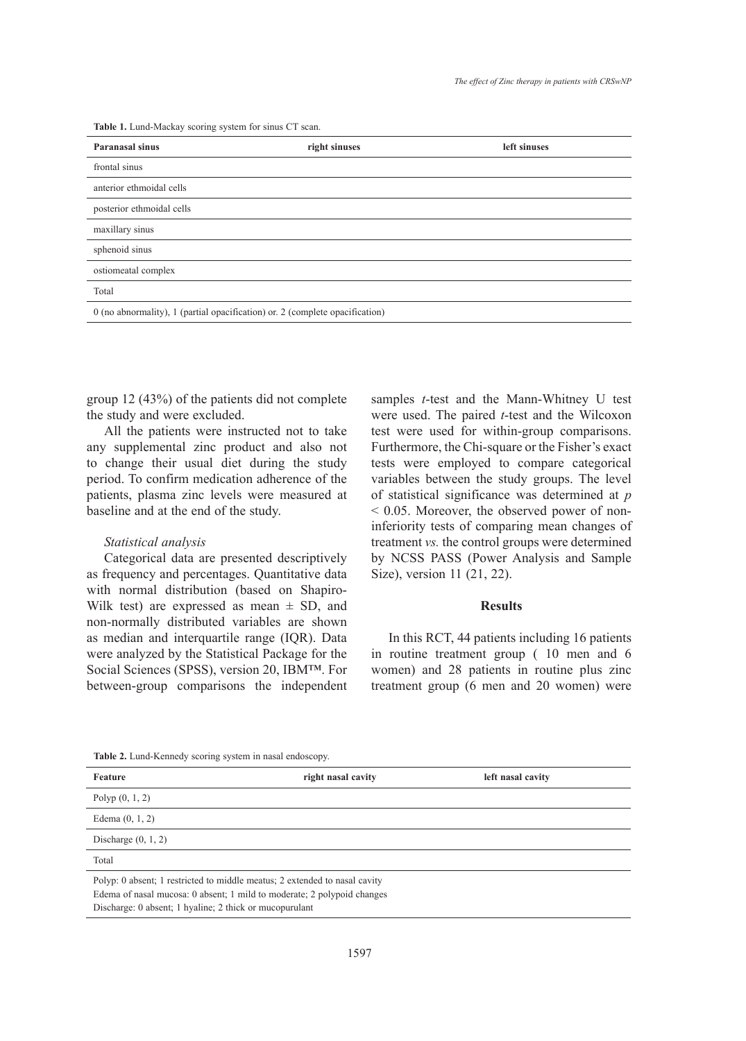**Table 1.** Lund-Mackay scoring system for sinus CT scan.

| <b>Paranasal sinus</b>                                                         | right sinuses | left sinuses |  |  |
|--------------------------------------------------------------------------------|---------------|--------------|--|--|
| frontal sinus                                                                  |               |              |  |  |
| anterior ethmoidal cells                                                       |               |              |  |  |
| posterior ethmoidal cells                                                      |               |              |  |  |
| maxillary sinus                                                                |               |              |  |  |
| sphenoid sinus                                                                 |               |              |  |  |
| ostiomeatal complex                                                            |               |              |  |  |
| Total                                                                          |               |              |  |  |
| $0$ (no abnormality), 1 (partial opacification) or. 2 (complete opacification) |               |              |  |  |

group 12 (43%) of the patients did not complete the study and were excluded.

All the patients were instructed not to take any supplemental zinc product and also not to change their usual diet during the study period. To confirm medication adherence of the patients, plasma zinc levels were measured at baseline and at the end of the study.

# *Statistical analysis*

Categorical data are presented descriptively as frequency and percentages. Quantitative data with normal distribution (based on Shapiro-Wilk test) are expressed as mean  $\pm$  SD, and non-normally distributed variables are shown as median and interquartile range (IQR). Data were analyzed by the Statistical Package for the Social Sciences (SPSS), version 20, IBM™. For between-group comparisons the independent samples *t*-test and the Mann-Whitney U test were used. The paired *t*-test and the Wilcoxon test were used for within-group comparisons. Furthermore, the Chi-square or the Fisher's exact tests were employed to compare categorical variables between the study groups. The level of statistical significance was determined at *p*  < 0.05. Moreover, the observed power of noninferiority tests of comparing mean changes of treatment *vs.* the control groups were determined by NCSS PASS (Power Analysis and Sample Size), version 11 (21, 22).

## **Results**

In this RCT, 44 patients including 16 patients in routine treatment group ( 10 men and 6 women) and 28 patients in routine plus zinc treatment group (6 men and 20 women) were

**Table 2.** Lund-Kennedy scoring system in nasal endoscopy.

| Feature                                                                                                                                                                                                          | right nasal cavity | left nasal cavity |  |  |  |
|------------------------------------------------------------------------------------------------------------------------------------------------------------------------------------------------------------------|--------------------|-------------------|--|--|--|
| Polyp $(0, 1, 2)$                                                                                                                                                                                                |                    |                   |  |  |  |
| Edema $(0, 1, 2)$                                                                                                                                                                                                |                    |                   |  |  |  |
| Discharge $(0, 1, 2)$                                                                                                                                                                                            |                    |                   |  |  |  |
| Total                                                                                                                                                                                                            |                    |                   |  |  |  |
| Polyp: 0 absent; 1 restricted to middle meatus; 2 extended to nasal cavity<br>Edema of nasal mucosa: 0 absent; 1 mild to moderate; 2 polypoid changes<br>Discharge: 0 absent; 1 hyaline; 2 thick or mucopurulant |                    |                   |  |  |  |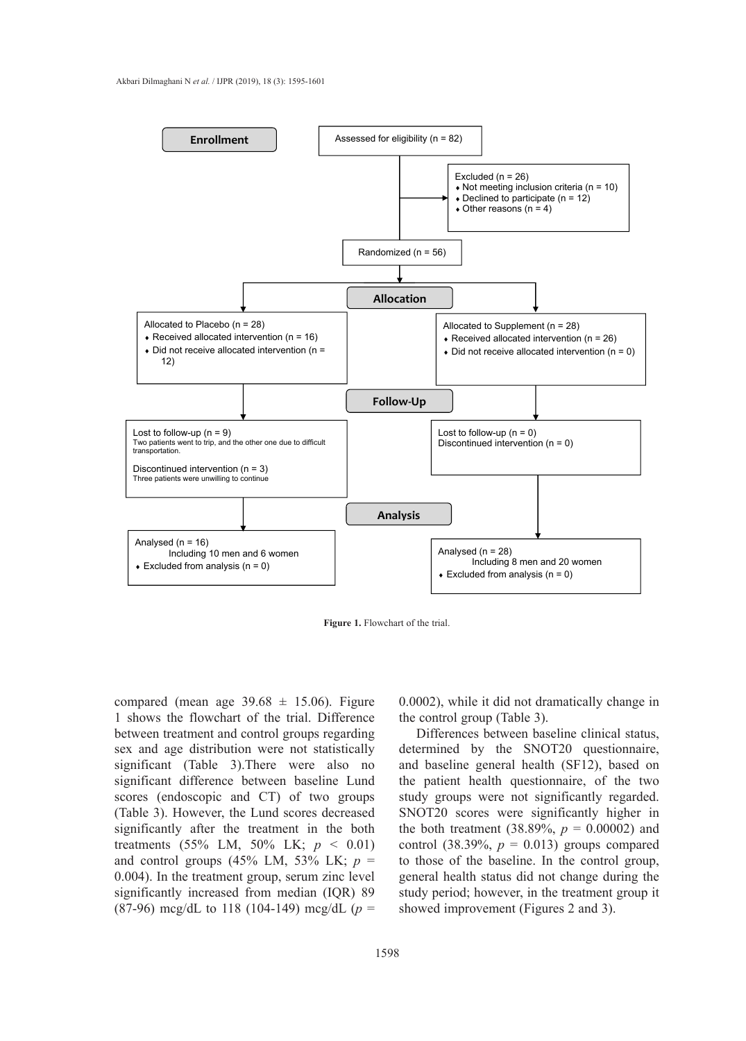

**Figure 1.** Flowchart of the trial. **Figure 1.** Flowchart of the trial.

compared (mean age  $39.68 \pm 15.06$ ). Figure 1 shows the flowchart of the trial. Difference between treatment and control groups regarding sex and age distribution were not statistically significant (Table 3).There were also no significant difference between baseline Lund scores (endoscopic and CT) of two groups (Table 3). However, the Lund scores decreased significantly after the treatment in the both treatments (55% LM, 50% LK; *p* < 0.01) and control groups (45% LM, 53% LK; *p* = 0.004). In the treatment group, serum zinc level significantly increased from median (IQR) 89 (87-96) mcg/dL to 118 (104-149) mcg/dL (*p* =

0.0002), while it did not dramatically change in the control group (Table 3).

Differences between baseline clinical status, determined by the SNOT20 questionnaire, and baseline general health (SF12), based on the patient health questionnaire, of the two study groups were not significantly regarded. SNOT20 scores were significantly higher in the both treatment (38.89%,  $p = 0.00002$ ) and control (38.39%,  $p = 0.013$ ) groups compared to those of the baseline. In the control group, general health status did not change during the study period; however, in the treatment group it showed improvement (Figures 2 and 3).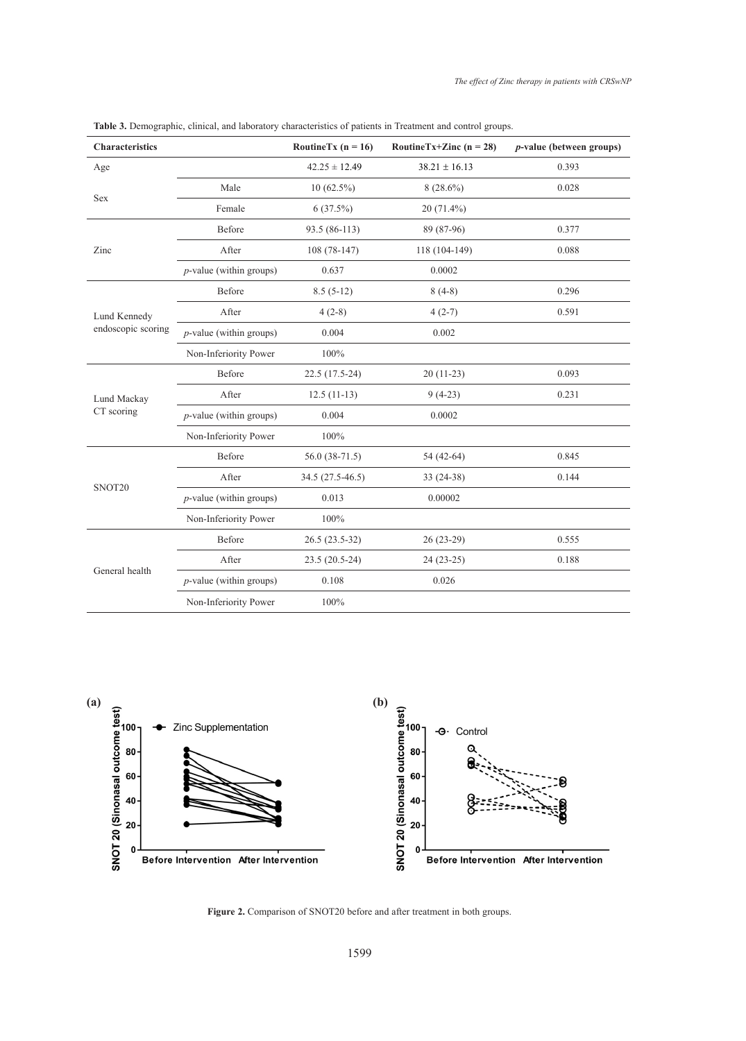| <b>Characteristics</b>             |                            | RoutineTx ( $n = 16$ ) | RoutineTx+Zinc ( $n = 28$ ) | <i>p</i> -value (between groups) |
|------------------------------------|----------------------------|------------------------|-----------------------------|----------------------------------|
| Age                                |                            | $42.25 \pm 12.49$      | $38.21 \pm 16.13$           | 0.393                            |
| Sex                                | Male                       | $10(62.5\%)$           | $8(28.6\%)$                 | 0.028                            |
|                                    | Female                     | 6(37.5%)               | $20(71.4\%)$                |                                  |
| Zinc                               | Before                     | 93.5 (86-113)          | 89 (87-96)                  | 0.377                            |
|                                    | After                      | $108(78-147)$          | 118 (104-149)               | 0.088                            |
|                                    | $p$ -value (within groups) | 0.637                  | 0.0002                      |                                  |
| Lund Kennedy<br>endoscopic scoring | Before                     | $8.5(5-12)$            | $8(4-8)$                    | 0.296                            |
|                                    | After                      | $4(2-8)$               | $4(2-7)$                    | 0.591                            |
|                                    | $p$ -value (within groups) | 0.004                  | 0.002                       |                                  |
|                                    | Non-Inferiority Power      | 100%                   |                             |                                  |
| Lund Mackay<br>CT scoring          | Before                     | 22.5 (17.5-24)         | 20 (11-23)                  | 0.093                            |
|                                    | After                      | $12.5(11-13)$          | $9(4-23)$                   | 0.231                            |
|                                    | $p$ -value (within groups) | 0.004                  | 0.0002                      |                                  |
|                                    | Non-Inferiority Power      | 100%                   |                             |                                  |
| SNOT20                             | Before                     | $56.0(38-71.5)$        | 54 (42-64)                  | 0.845                            |
|                                    | After                      | 34.5 (27.5-46.5)       | 33 (24-38)                  | 0.144                            |
|                                    | $p$ -value (within groups) | 0.013                  | 0.00002                     |                                  |
|                                    | Non-Inferiority Power      | 100%                   |                             |                                  |
| General health                     | Before                     | 26.5 (23.5-32)         | 26 (23-29)                  | 0.555                            |
|                                    | After                      | 23.5 (20.5-24)         | $24(23-25)$                 | 0.188                            |
|                                    | $p$ -value (within groups) | 0.108                  | 0.026                       |                                  |
|                                    | Non-Inferiority Power      | 100%                   |                             |                                  |

**Table 3.** Demographic, clinical, and laboratory characteristics of patients in Treatment and control groups.



Figure 2. Comparison of SNOT20 before and after treatment in both groups.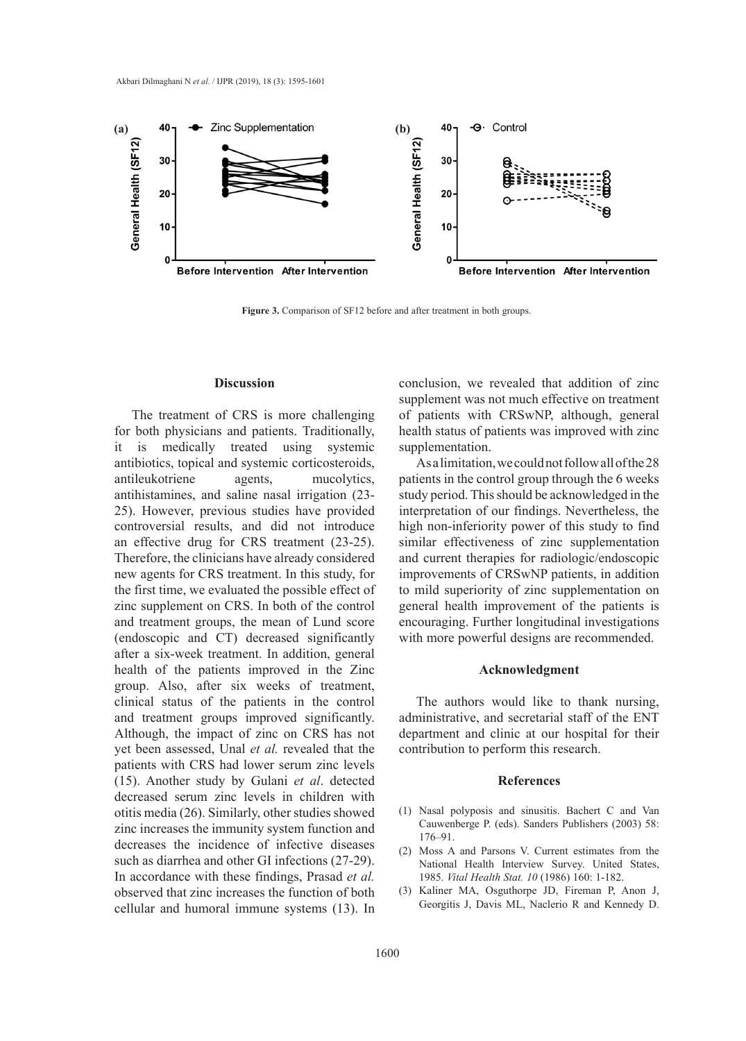

**Figure 3.** Comparison of SF12 before and after treatment in both groups.

## **Discussion**

The treatment of CRS is more challenging for both physicians and patients. Traditionally, it is medically treated using systemic antibiotics, topical and systemic corticosteroids, antileukotriene agents, mucolytics, antihistamines, and saline nasal irrigation (23- 25). However, previous studies have provided controversial results, and did not introduce an effective drug for CRS treatment (23-25). Therefore, the clinicians have already considered new agents for CRS treatment. In this study, for the first time, we evaluated the possible effect of zinc supplement on CRS. In both of the control and treatment groups, the mean of Lund score (endoscopic and CT) decreased significantly after a six-week treatment. In addition, general health of the patients improved in the Zinc group. Also, after six weeks of treatment, clinical status of the patients in the control and treatment groups improved significantly. Although, the impact of zinc on CRS has not yet been assessed, Unal *et al.* revealed that the patients with CRS had lower serum zinc levels (15). Another study by Gulani *et al*. detected decreased serum zinc levels in children with otitis media (26). Similarly, other studies showed zinc increases the immunity system function and decreases the incidence of infective diseases such as diarrhea and other GI infections (27-29). In accordance with these findings, Prasad *et al.*  observed that zinc increases the function of both cellular and humoral immune systems (13). In

conclusion, we revealed that addition of zinc supplement was not much effective on treatment of patients with CRSwNP, although, general health status of patients was improved with zinc supplementation.

As a limitation, we could not follow all of the 28 patients in the control group through the 6 weeks study period. This should be acknowledged in the interpretation of our findings. Nevertheless, the high non-inferiority power of this study to find similar effectiveness of zinc supplementation and current therapies for radiologic/endoscopic improvements of CRSwNP patients, in addition to mild superiority of zinc supplementation on general health improvement of the patients is encouraging. Further longitudinal investigations with more powerful designs are recommended.

#### **Acknowledgment**

The authors would like to thank nursing, administrative, and secretarial staff of the ENT department and clinic at our hospital for their contribution to perform this research.

## **References**

- (1) Nasal polyposis and sinusitis. Bachert C and Van Cauwenberge P. (eds). Sanders Publishers (2003) 58: 176–91.
- (2) Moss A and Parsons V. Current estimates from the National Health Interview Survey. United States, 1985. *Vital Health Stat. 10* (1986) 160: 1-182.
- (3) Kaliner MA, Osguthorpe JD, Fireman P, Anon J, Georgitis J, Davis ML, Naclerio R and Kennedy D.